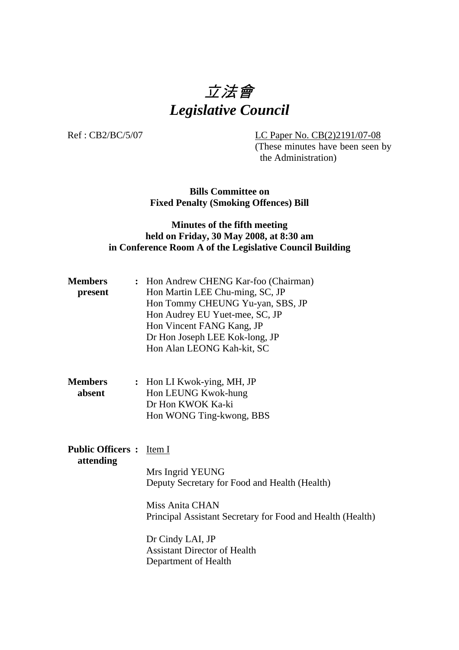# 立法會 *Legislative Council*

Ref : CB2/BC/5/07 LC Paper No. CB(2)2191/07-08

(These minutes have been seen by the Administration)

**Bills Committee on Fixed Penalty (Smoking Offences) Bill** 

## **Minutes of the fifth meeting held on Friday, 30 May 2008, at 8:30 am in Conference Room A of the Legislative Council Building**

| <b>Members</b> | : Hon Andrew CHENG Kar-foo (Chairman) |
|----------------|---------------------------------------|
| present        | Hon Martin LEE Chu-ming, SC, JP       |
|                | Hon Tommy CHEUNG Yu-yan, SBS, JP      |
|                | Hon Audrey EU Yuet-mee, SC, JP        |
|                | Hon Vincent FANG Kang, JP             |
|                | Dr Hon Joseph LEE Kok-long, JP        |
|                | Hon Alan LEONG Kah-kit, SC            |
|                |                                       |
| <b>Members</b> | : Hon LI Kwok-ying, MH, JP            |

**absent Hon LEUNG Kwok-hung** Dr Hon KWOK Ka-ki Hon WONG Ting-kwong, BBS

### **Public Officers :** Item I **attending**

Mrs Ingrid YEUNG Deputy Secretary for Food and Health (Health)

Miss Anita CHAN Principal Assistant Secretary for Food and Health (Health)

Dr Cindy LAI, JP Assistant Director of Health Department of Health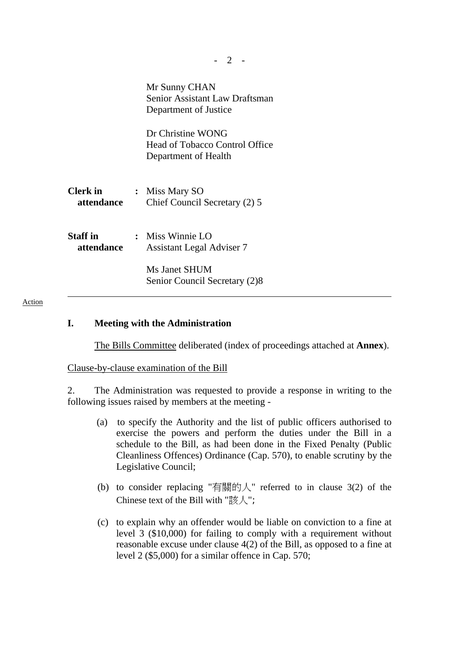|                               | Mr Sunny CHAN<br>Senior Assistant Law Draftsman<br>Department of Justice<br>Dr Christine WONG<br><b>Head of Tobacco Control Office</b> |
|-------------------------------|----------------------------------------------------------------------------------------------------------------------------------------|
|                               | Department of Health                                                                                                                   |
| <b>Clerk</b> in<br>attendance | : Miss Mary SO<br>Chief Council Secretary (2) 5                                                                                        |
| <b>Staff</b> in<br>attendance | : Miss Winnie LO<br><b>Assistant Legal Adviser 7</b>                                                                                   |
|                               | Ms Janet SHUM<br>Senior Council Secretary (2)8                                                                                         |
|                               |                                                                                                                                        |

#### Action

## **I. Meeting with the Administration**

The Bills Committee deliberated (index of proceedings attached at **Annex**).

Clause-by-clause examination of the Bill

2. The Administration was requested to provide a response in writing to the following issues raised by members at the meeting -

- (a) to specify the Authority and the list of public officers authorised to exercise the powers and perform the duties under the Bill in a schedule to the Bill, as had been done in the Fixed Penalty (Public Cleanliness Offences) Ordinance (Cap. 570), to enable scrutiny by the Legislative Council;
- (b) to consider replacing "有關的人" referred to in clause 3(2) of the Chinese text of the Bill with "該人";
- (c) to explain why an offender would be liable on conviction to a fine at level 3 (\$10,000) for failing to comply with a requirement without reasonable excuse under clause 4(2) of the Bill, as opposed to a fine at level 2 (\$5,000) for a similar offence in Cap. 570;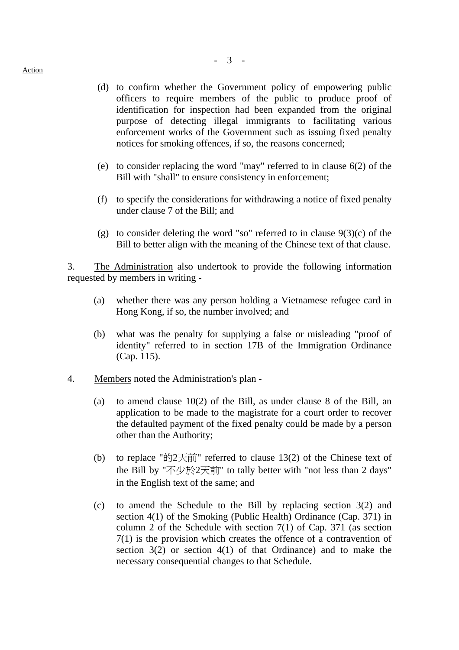- (d) to confirm whether the Government policy of empowering public officers to require members of the public to produce proof of identification for inspection had been expanded from the original purpose of detecting illegal immigrants to facilitating various enforcement works of the Government such as issuing fixed penalty notices for smoking offences, if so, the reasons concerned;
- (e) to consider replacing the word "may" referred to in clause 6(2) of the Bill with "shall" to ensure consistency in enforcement;
- (f) to specify the considerations for withdrawing a notice of fixed penalty under clause 7 of the Bill; and
- (g) to consider deleting the word "so" referred to in clause  $9(3)(c)$  of the Bill to better align with the meaning of the Chinese text of that clause.

3. The Administration also undertook to provide the following information requested by members in writing -

- (a) whether there was any person holding a Vietnamese refugee card in Hong Kong, if so, the number involved; and
- (b) what was the penalty for supplying a false or misleading "proof of identity" referred to in section 17B of the Immigration Ordinance (Cap. 115).
- 4. Members noted the Administration's plan
	- (a) to amend clause 10(2) of the Bill, as under clause 8 of the Bill, an application to be made to the magistrate for a court order to recover the defaulted payment of the fixed penalty could be made by a person other than the Authority;
	- (b) to replace "的2天前" referred to clause  $13(2)$  of the Chinese text of the Bill by "不少於2天前" to tally better with "not less than 2 days" in the English text of the same; and
	- (c) to amend the Schedule to the Bill by replacing section 3(2) and section 4(1) of the Smoking (Public Health) Ordinance (Cap. 371) in column 2 of the Schedule with section 7(1) of Cap. 371 (as section 7(1) is the provision which creates the offence of a contravention of section 3(2) or section 4(1) of that Ordinance) and to make the necessary consequential changes to that Schedule.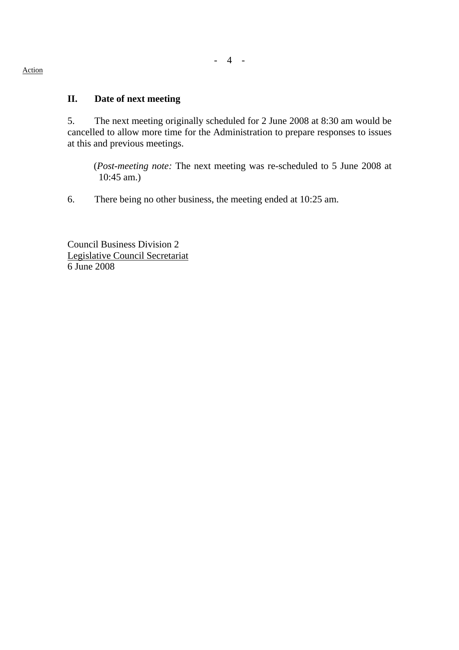# **II. Date of next meeting**

5. The next meeting originally scheduled for 2 June 2008 at 8:30 am would be cancelled to allow more time for the Administration to prepare responses to issues at this and previous meetings.

(*Post-meeting note:* The next meeting was re-scheduled to 5 June 2008 at 10:45 am.)

6. There being no other business, the meeting ended at 10:25 am.

Council Business Division 2 Legislative Council Secretariat 6 June 2008

#### Action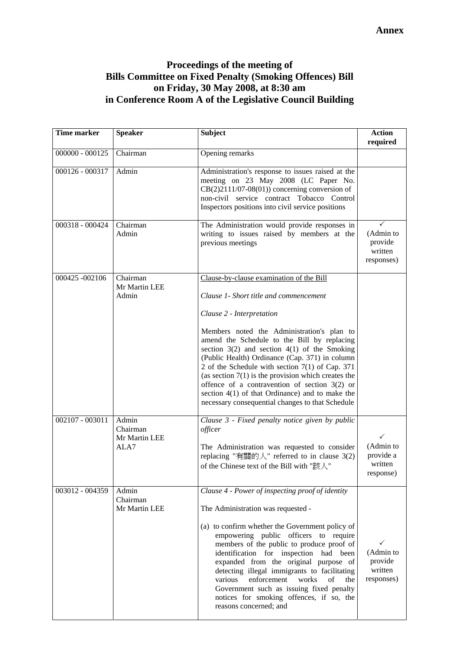## **Proceedings of the meeting of Bills Committee on Fixed Penalty (Smoking Offences) Bill on Friday, 30 May 2008, at 8:30 am in Conference Room A of the Legislative Council Building**

| <b>Time marker</b> | <b>Speaker</b>                             | <b>Subject</b>                                                                                                                                                                                                                                                                                                                                                                                                                                                            | <b>Action</b><br>required                                      |
|--------------------|--------------------------------------------|---------------------------------------------------------------------------------------------------------------------------------------------------------------------------------------------------------------------------------------------------------------------------------------------------------------------------------------------------------------------------------------------------------------------------------------------------------------------------|----------------------------------------------------------------|
| $000000 - 000125$  | Chairman                                   | Opening remarks                                                                                                                                                                                                                                                                                                                                                                                                                                                           |                                                                |
| 000126 - 000317    | Admin                                      | Administration's response to issues raised at the<br>meeting on 23 May 2008 (LC Paper No.<br>$CB(2)2111/07-08(01))$ concerning conversion of<br>non-civil service contract Tobacco Control<br>Inspectors positions into civil service positions                                                                                                                                                                                                                           |                                                                |
| 000318 - 000424    | Chairman<br>Admin                          | The Administration would provide responses in<br>writing to issues raised by members at the<br>previous meetings                                                                                                                                                                                                                                                                                                                                                          | (Admin to<br>provide<br>written<br>responses)                  |
| 000425 -002106     | Chairman<br>Mr Martin LEE                  | Clause-by-clause examination of the Bill                                                                                                                                                                                                                                                                                                                                                                                                                                  |                                                                |
|                    | Admin                                      | Clause 1- Short title and commencement                                                                                                                                                                                                                                                                                                                                                                                                                                    |                                                                |
|                    |                                            | Clause 2 - Interpretation                                                                                                                                                                                                                                                                                                                                                                                                                                                 |                                                                |
|                    |                                            | Members noted the Administration's plan to<br>amend the Schedule to the Bill by replacing<br>section $3(2)$ and section $4(1)$ of the Smoking<br>(Public Health) Ordinance (Cap. 371) in column<br>2 of the Schedule with section $7(1)$ of Cap. 371<br>(as section $7(1)$ is the provision which creates the<br>offence of a contravention of section $3(2)$ or<br>section $4(1)$ of that Ordinance) and to make the<br>necessary consequential changes to that Schedule |                                                                |
| 002107 - 003011    | Admin<br>Chairman<br>Mr Martin LEE<br>ALA7 | Clause 3 - Fixed penalty notice given by public<br>officer                                                                                                                                                                                                                                                                                                                                                                                                                |                                                                |
|                    |                                            | The Administration was requested to consider<br>replacing "有關的人" referred to in clause 3(2)<br>of the Chinese text of the Bill with "該人"                                                                                                                                                                                                                                                                                                                                  | $\checkmark$<br>(Admin to<br>provide a<br>written<br>response) |
| 003012 - 004359    | Admin<br>Chairman                          | Clause 4 - Power of inspecting proof of identity                                                                                                                                                                                                                                                                                                                                                                                                                          |                                                                |
|                    | Mr Martin LEE                              | The Administration was requested -                                                                                                                                                                                                                                                                                                                                                                                                                                        |                                                                |
|                    |                                            | (a) to confirm whether the Government policy of<br>empowering public officers to require<br>members of the public to produce proof of<br>identification for inspection had been<br>expanded from the original purpose of<br>detecting illegal immigrants to facilitating<br>various enforcement<br>works<br>of<br>the<br>Government such as issuing fixed penalty<br>notices for smoking offences, if so, the<br>reasons concerned; and                                   | ✓<br>(Admin to<br>provide<br>written<br>responses)             |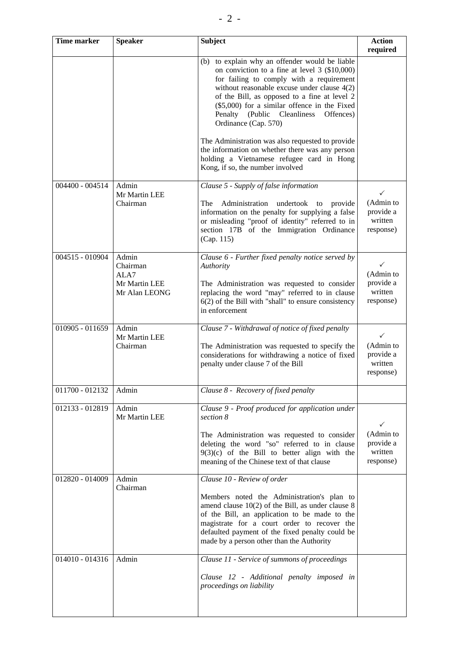| <b>Time marker</b> | <b>Speaker</b>                                              | <b>Subject</b>                                                                                                                                                                                                                                                                                                                                                     | <b>Action</b><br>required                                      |
|--------------------|-------------------------------------------------------------|--------------------------------------------------------------------------------------------------------------------------------------------------------------------------------------------------------------------------------------------------------------------------------------------------------------------------------------------------------------------|----------------------------------------------------------------|
|                    |                                                             | (b) to explain why an offender would be liable<br>on conviction to a fine at level $3$ (\$10,000)<br>for failing to comply with a requirement<br>without reasonable excuse under clause 4(2)<br>of the Bill, as opposed to a fine at level 2<br>$(\$5,000)$ for a similar offence in the Fixed<br>Penalty (Public Cleanliness<br>Offences)<br>Ordinance (Cap. 570) |                                                                |
|                    |                                                             | The Administration was also requested to provide<br>the information on whether there was any person<br>holding a Vietnamese refugee card in Hong<br>Kong, if so, the number involved                                                                                                                                                                               |                                                                |
| 004400 - 004514    | Admin<br>Mr Martin LEE<br>Chairman                          | Clause 5 - Supply of false information<br>Administration undertook to<br>The<br>provide<br>information on the penalty for supplying a false<br>or misleading "proof of identity" referred to in<br>section 17B of the Immigration Ordinance<br>(Cap. 115)                                                                                                          | ✓<br>(Admin to<br>provide a<br>written<br>response)            |
| 004515 - 010904    | Admin<br>Chairman<br>ALA7<br>Mr Martin LEE<br>Mr Alan LEONG | Clause 6 - Further fixed penalty notice served by<br>Authority<br>The Administration was requested to consider<br>replacing the word "may" referred to in clause<br>$6(2)$ of the Bill with "shall" to ensure consistency<br>in enforcement                                                                                                                        | $\checkmark$<br>(Admin to<br>provide a<br>written<br>response) |
| 010905 - 011659    | Admin<br>Mr Martin LEE<br>Chairman                          | Clause 7 - Withdrawal of notice of fixed penalty<br>The Administration was requested to specify the<br>considerations for withdrawing a notice of fixed<br>penalty under clause 7 of the Bill                                                                                                                                                                      | $\checkmark$<br>(Admin to<br>provide a<br>written<br>response) |
| 011700 - 012132    | Admin                                                       | Clause 8 - Recovery of fixed penalty                                                                                                                                                                                                                                                                                                                               |                                                                |
| 012133 - 012819    | Admin<br>Mr Martin LEE                                      | Clause 9 - Proof produced for application under<br>section 8<br>The Administration was requested to consider<br>deleting the word "so" referred to in clause<br>$9(3)(c)$ of the Bill to better align with the<br>meaning of the Chinese text of that clause                                                                                                       | (Admin to<br>provide a<br>written<br>response)                 |
| 012820 - 014009    | Admin<br>Chairman                                           | Clause 10 - Review of order<br>Members noted the Administration's plan to<br>amend clause $10(2)$ of the Bill, as under clause 8<br>of the Bill, an application to be made to the<br>magistrate for a court order to recover the<br>defaulted payment of the fixed penalty could be<br>made by a person other than the Authority                                   |                                                                |
| 014010 - 014316    | Admin                                                       | Clause 11 - Service of summons of proceedings<br>Clause 12 - Additional penalty imposed in<br>proceedings on liability                                                                                                                                                                                                                                             |                                                                |